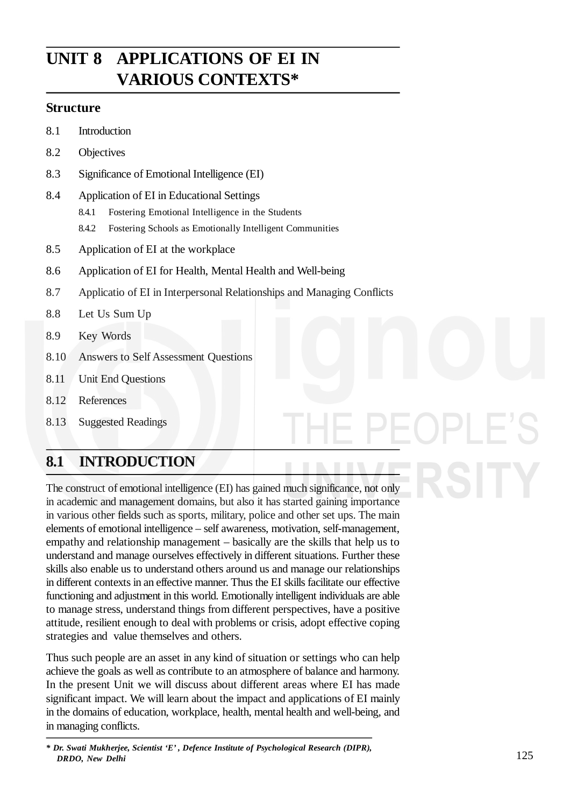# **UNIT 8 APPLICATIONS OF EI IN VARIOUS CONTEXTS\***

## **Structure**

- 8.1 Introduction
- 8.2 Objectives
- 8.3 Significance of Emotional Intelligence (EI)
- 8.4 Application of EI in Educational Settings
	- 8.4.1 Fostering Emotional Intelligence in the Students
	- 8.4.2 Fostering Schools as Emotionally Intelligent Communities
- 8.5 Application of EI at the workplace
- 8.6 Application of EI for Health, Mental Health and Well-being
- 8.7 Applicatio of EI in Interpersonal Relationships and Managing Conflicts
- 8.8 Let Us Sum Up
- 8.9 Key Words
- 8.10 Answers to Self Assessment Questions
- 8.11 Unit End Questions
- 8.12 References
- 8.13 Suggested Readings

# **8.1 INTRODUCTION**

The construct of emotional intelligence (EI) has gained much significance, not only in academic and management domains, but also it has started gaining importance in various other fields such as sports, military, police and other set ups. The main elements of emotional intelligence – self awareness, motivation, self-management, empathy and relationship management – basically are the skills that help us to understand and manage ourselves effectively in different situations. Further these skills also enable us to understand others around us and manage our relationships in different contexts in an effective manner. Thus the EI skills facilitate our effective functioning and adjustment in this world. Emotionally intelligent individuals are able to manage stress, understand things from different perspectives, have a positive attitude, resilient enough to deal with problems or crisis, adopt effective coping strategies and value themselves and others.

Thus such people are an asset in any kind of situation or settings who can help achieve the goals as well as contribute to an atmosphere of balance and harmony. In the present Unit we will discuss about different areas where EI has made significant impact. We will learn about the impact and applications of EI mainly in the domains of education, workplace, health, mental health and well-being, and in managing conflicts.

*<sup>\*</sup> Dr. Swati Mukherjee, Scientist 'E' , Defence Institute of Psychological Research (DIPR), DRDO, New Delhi*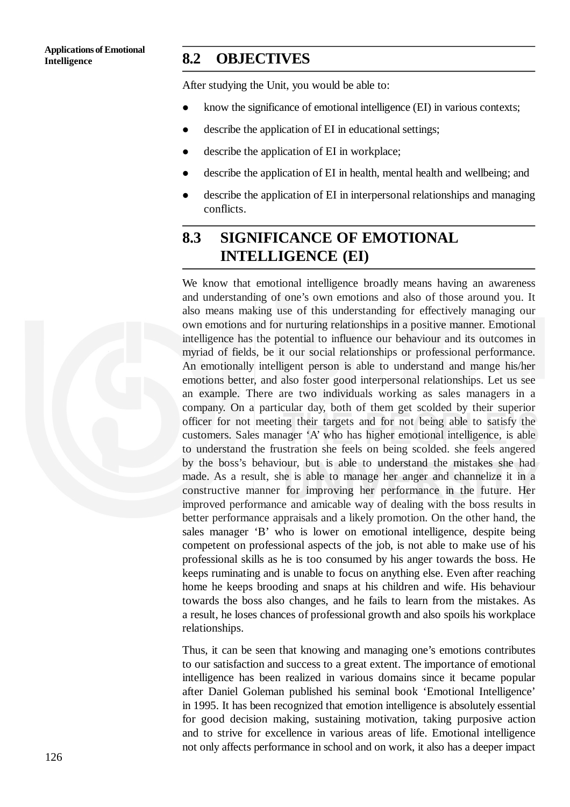## **Intelligence 8.2 OBJECTIVES**

After studying the Unit, you would be able to:

- know the significance of emotional intelligence (EI) in various contexts;
- describe the application of EI in educational settings;
- describe the application of EI in workplace;
- describe the application of EI in health, mental health and wellbeing; and
- describe the application of EI in interpersonal relationships and managing conflicts.

# **8.3 SIGNIFICANCE OF EMOTIONAL INTELLIGENCE (EI)**

We know that emotional intelligence broadly means having an awareness and understanding of one's own emotions and also of those around you. It also means making use of this understanding for effectively managing our own emotions and for nurturing relationships in a positive manner. Emotional intelligence has the potential to influence our behaviour and its outcomes in myriad of fields, be it our social relationships or professional performance. An emotionally intelligent person is able to understand and mange his/her emotions better, and also foster good interpersonal relationships. Let us see an example. There are two individuals working as sales managers in a company. On a particular day, both of them get scolded by their superior officer for not meeting their targets and for not being able to satisfy the customers. Sales manager 'A' who has higher emotional intelligence, is able to understand the frustration she feels on being scolded. she feels angered by the boss's behaviour, but is able to understand the mistakes she had made. As a result, she is able to manage her anger and channelize it in a constructive manner for improving her performance in the future. Her improved performance and amicable way of dealing with the boss results in better performance appraisals and a likely promotion. On the other hand, the sales manager 'B' who is lower on emotional intelligence, despite being competent on professional aspects of the job, is not able to make use of his professional skills as he is too consumed by his anger towards the boss. He keeps ruminating and is unable to focus on anything else. Even after reaching home he keeps brooding and snaps at his children and wife. His behaviour towards the boss also changes, and he fails to learn from the mistakes. As a result, he loses chances of professional growth and also spoils his workplace relationships.

Thus, it can be seen that knowing and managing one's emotions contributes to our satisfaction and success to a great extent. The importance of emotional intelligence has been realized in various domains since it became popular after Daniel Goleman published his seminal book 'Emotional Intelligence' in 1995. It has been recognized that emotion intelligence is absolutely essential for good decision making, sustaining motivation, taking purposive action and to strive for excellence in various areas of life. Emotional intelligence not only affects performance in school and on work, it also has a deeper impact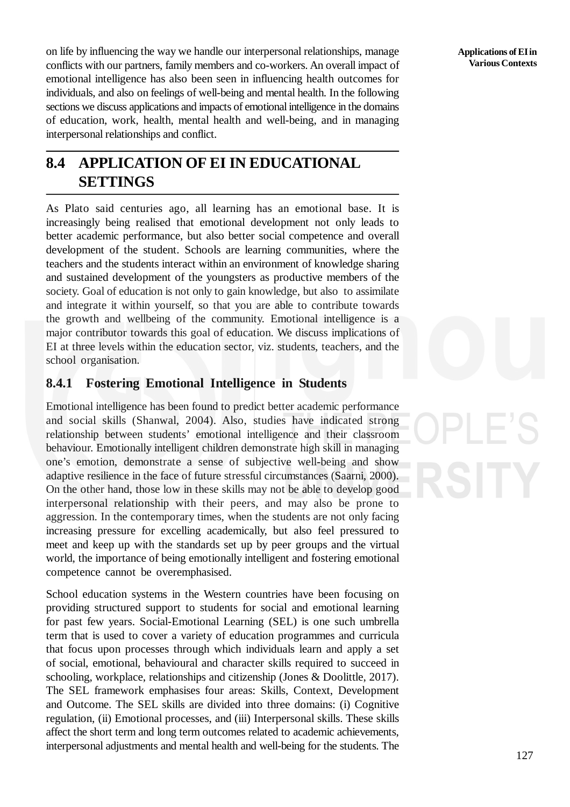on life by influencing the way we handle our interpersonal relationships, manage conflicts with our partners, family members and co-workers. An overall impact of emotional intelligence has also been seen in influencing health outcomes for individuals, and also on feelings of well-being and mental health. In the following sections we discuss applications and impacts of emotional intelligence in the domains of education, work, health, mental health and well-being, and in managing interpersonal relationships and conflict.

# **8.4 APPLICATION OF EI IN EDUCATIONAL SETTINGS**

As Plato said centuries ago, all learning has an emotional base. It is increasingly being realised that emotional development not only leads to better academic performance, but also better social competence and overall development of the student. Schools are learning communities, where the teachers and the students interact within an environment of knowledge sharing and sustained development of the youngsters as productive members of the society. Goal of education is not only to gain knowledge, but also to assimilate and integrate it within yourself, so that you are able to contribute towards the growth and wellbeing of the community. Emotional intelligence is a major contributor towards this goal of education. We discuss implications of EI at three levels within the education sector, viz. students, teachers, and the school organisation.

## **8.4.1 Fostering Emotional Intelligence in Students**

Emotional intelligence has been found to predict better academic performance and social skills (Shanwal, 2004). Also, studies have indicated strong relationship between students' emotional intelligence and their classroom behaviour. Emotionally intelligent children demonstrate high skill in managing one's emotion, demonstrate a sense of subjective well-being and show adaptive resilience in the face of future stressful circumstances (Saarni, 2000). On the other hand, those low in these skills may not be able to develop good interpersonal relationship with their peers, and may also be prone to aggression. In the contemporary times, when the students are not only facing increasing pressure for excelling academically, but also feel pressured to meet and keep up with the standards set up by peer groups and the virtual world, the importance of being emotionally intelligent and fostering emotional competence cannot be overemphasised.

School education systems in the Western countries have been focusing on providing structured support to students for social and emotional learning for past few years. Social-Emotional Learning (SEL) is one such umbrella term that is used to cover a variety of education programmes and curricula that focus upon processes through which individuals learn and apply a set of social, emotional, behavioural and character skills required to succeed in schooling, workplace, relationships and citizenship (Jones & Doolittle, 2017). The SEL framework emphasises four areas: Skills, Context, Development and Outcome. The SEL skills are divided into three domains: (i) Cognitive regulation, (ii) Emotional processes, and (iii) Interpersonal skills. These skills affect the short term and long term outcomes related to academic achievements, interpersonal adjustments and mental health and well-being for the students. The **Applications ofEIin Various Contexts**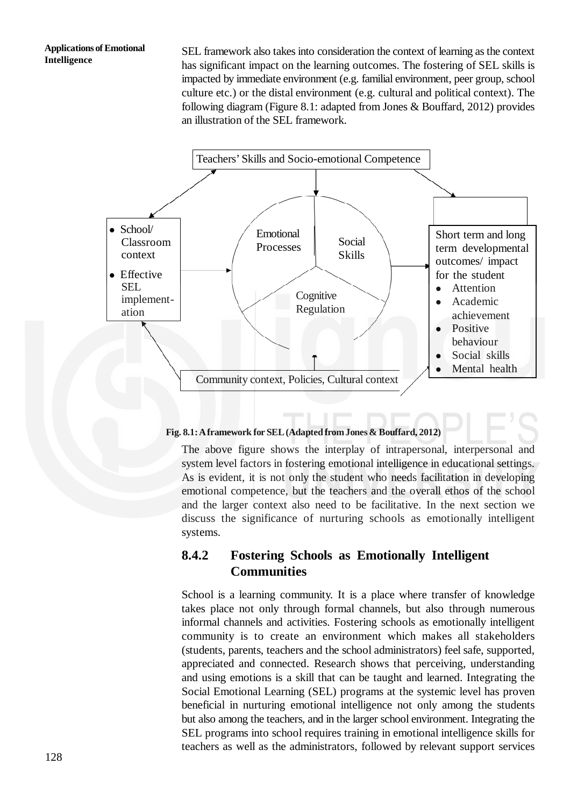### **Applications of Emotional Intelligence**

SEL framework also takes into consideration the context of learning as the context has significant impact on the learning outcomes. The fostering of SEL skills is impacted by immediate environment (e.g. familial environment, peer group, school culture etc.) or the distal environment (e.g. cultural and political context). The following diagram (Figure 8.1: adapted from Jones & Bouffard, 2012) provides an illustration of the SEL framework.



## **Fig. 8.1:Aframework for SEL(Adapted fromJones & Bouffard, 2012)**

The above figure shows the interplay of intrapersonal, interpersonal and system level factors in fostering emotional intelligence in educational settings. As is evident, it is not only the student who needs facilitation in developing emotional competence, but the teachers and the overall ethos of the school and the larger context also need to be facilitative. In the next section we discuss the significance of nurturing schools as emotionally intelligent systems.

## **8.4.2 Fostering Schools as Emotionally Intelligent Communities**

School is a learning community. It is a place where transfer of knowledge takes place not only through formal channels, but also through numerous informal channels and activities. Fostering schools as emotionally intelligent community is to create an environment which makes all stakeholders (students, parents, teachers and the school administrators) feel safe, supported, appreciated and connected. Research shows that perceiving, understanding and using emotions is a skill that can be taught and learned. Integrating the Social Emotional Learning (SEL) programs at the systemic level has proven beneficial in nurturing emotional intelligence not only among the students but also among the teachers, and in the larger school environment. Integrating the SEL programs into school requires training in emotional intelligence skills for teachers as well as the administrators, followed by relevant support services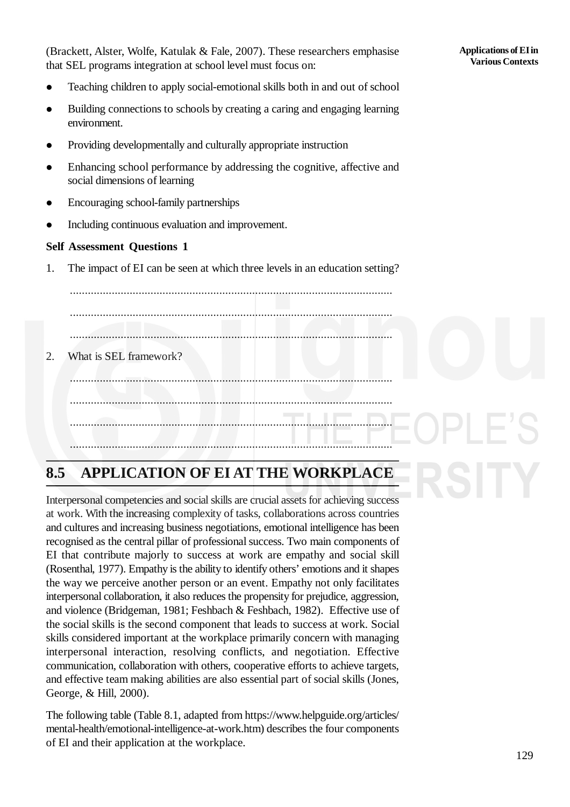(Brackett, Alster, Wolfe, Katulak & Fale, 2007). These researchers emphasise that SEL programs integration at school level must focus on:

- Teaching children to apply social-emotional skills both in and out of school
- Building connections to schools by creating a caring and engaging learning environment.
- Providing developmentally and culturally appropriate instruction
- Enhancing school performance by addressing the cognitive, affective and social dimensions of learning
- Encouraging school-family partnerships
- Including continuous evaluation and improvement.

## **Self Assessment Questions 1**

1. The impact of EI can be seen at which three levels in an education setting?

............................................................................................................

............................................................................................................

............................................................................................................

2. What is SEL framework?

............................................................................................................ ............................................................................................................ ............................................................................................................ ............................................................................................................

# **8.5 APPLICATION OF EI AT THE WORKPLACE**

Interpersonal competencies and social skills are crucial assets for achieving success at work. With the increasing complexity of tasks, collaborations across countries and cultures and increasing business negotiations, emotional intelligence has been recognised as the central pillar of professional success. Two main components of EI that contribute majorly to success at work are empathy and social skill (Rosenthal, 1977). Empathy is the ability to identify others' emotions and it shapes the way we perceive another person or an event. Empathy not only facilitates interpersonal collaboration, it also reduces the propensity for prejudice, aggression, and violence (Bridgeman, 1981; Feshbach & Feshbach, 1982). Effective use of the social skills is the second component that leads to success at work. Social skills considered important at the workplace primarily concern with managing interpersonal interaction, resolving conflicts, and negotiation. Effective communication, collaboration with others, cooperative efforts to achieve targets, and effective team making abilities are also essential part of social skills (Jones, George, & Hill, 2000).

The following table (Table 8.1, adapted from https://www.helpguide.org/articles/ mental-health/emotional-intelligence-at-work.htm) describes the four components of EI and their application at the workplace.

### **Applications ofEIin Various Contexts**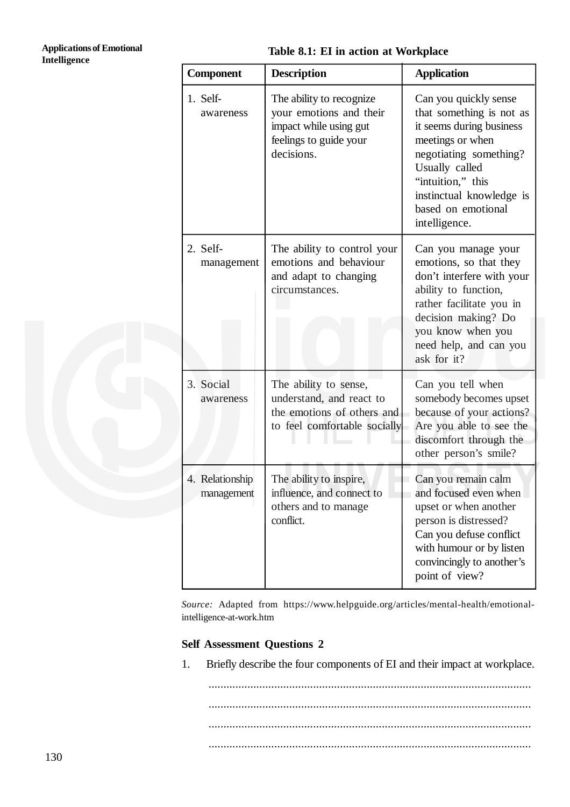## **Table 8.1: EI in action at Workplace**

| <b>Component</b>              | <b>Description</b>                                                                                                    | <b>Application</b>                                                                                                                                                                                                                    |  |
|-------------------------------|-----------------------------------------------------------------------------------------------------------------------|---------------------------------------------------------------------------------------------------------------------------------------------------------------------------------------------------------------------------------------|--|
| 1. Self-<br>awareness         | The ability to recognize<br>your emotions and their<br>impact while using gut<br>feelings to guide your<br>decisions. | Can you quickly sense<br>that something is not as<br>it seems during business<br>meetings or when<br>negotiating something?<br>Usually called<br>"intuition," this<br>instinctual knowledge is<br>based on emotional<br>intelligence. |  |
| 2. Self-<br>management        | The ability to control your<br>emotions and behaviour<br>and adapt to changing<br>circumstances.                      | Can you manage your<br>emotions, so that they<br>don't interfere with your<br>ability to function,<br>rather facilitate you in<br>decision making? Do<br>you know when you<br>need help, and can you<br>ask for it?                   |  |
| 3. Social<br>awareness        | The ability to sense,<br>understand, and react to<br>the emotions of others and<br>to feel comfortable socially       | Can you tell when<br>somebody becomes upset<br>because of your actions?<br>Are you able to see the<br>discomfort through the<br>other person's smile?                                                                                 |  |
| 4. Relationship<br>management | The ability to inspire,<br>influence, and connect to<br>others and to manage<br>conflict.                             | Can you remain calm<br>and focused even when<br>upset or when another<br>person is distressed?<br>Can you defuse conflict<br>with humour or by listen<br>convincingly to another's<br>point of view?                                  |  |

*Source:* Adapted from https://www.helpguide.org/articles/mental-health/emotionalintelligence-at-work.htm

## **Self Assessment Questions 2**

1. Briefly describe the four components of EI and their impact at workplace.

............................................................................................................ ............................................................................................................ ............................................................................................................ ............................................................................................................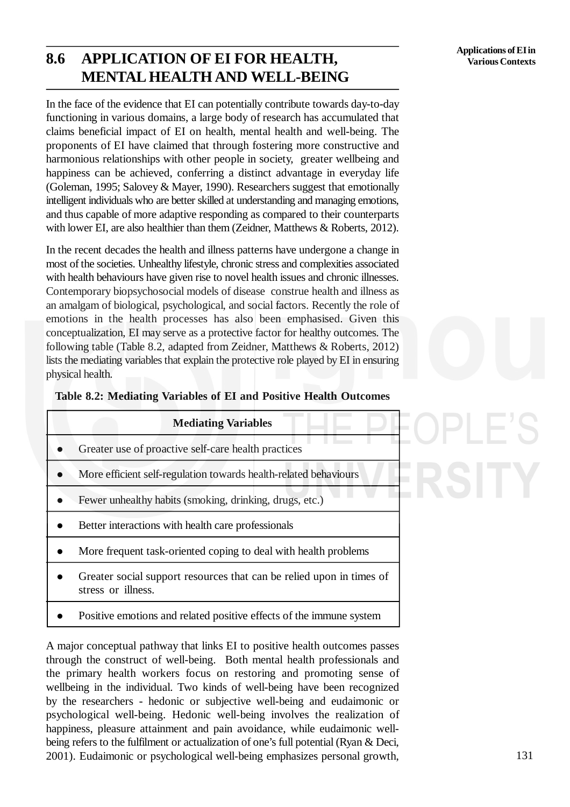# **8.6 APPLICATION OF EI FOR HEALTH, MENTAL HEALTH AND WELL-BEING**

In the face of the evidence that EI can potentially contribute towards day-to-day functioning in various domains, a large body of research has accumulated that claims beneficial impact of EI on health, mental health and well-being. The proponents of EI have claimed that through fostering more constructive and harmonious relationships with other people in society, greater wellbeing and happiness can be achieved, conferring a distinct advantage in everyday life (Goleman, 1995; Salovey & Mayer, 1990). Researchers suggest that emotionally intelligent individuals who are better skilled at understanding and managing emotions, and thus capable of more adaptive responding as compared to their counterparts with lower EI, are also healthier than them (Zeidner, Matthews & Roberts, 2012).

In the recent decades the health and illness patterns have undergone a change in most of the societies. Unhealthy lifestyle, chronic stress and complexities associated with health behaviours have given rise to novel health issues and chronic illnesses. Contemporary biopsychosocial models of disease construe health and illness as an amalgam of biological, psychological, and social factors. Recently the role of emotions in the health processes has also been emphasised. Given this conceptualization, EI may serve as a protective factor for healthy outcomes. The following table (Table 8.2, adapted from Zeidner, Matthews & Roberts, 2012) lists the mediating variables that explain the protective role played by EI in ensuring physical health.

|  |  |  | Table 8.2: Mediating Variables of EI and Positive Health Outcomes |
|--|--|--|-------------------------------------------------------------------|
|  |  |  |                                                                   |

| <b>Mediating Variables</b> |                                                                                            |  |
|----------------------------|--------------------------------------------------------------------------------------------|--|
|                            | Greater use of proactive self-care health practices                                        |  |
|                            | More efficient self-regulation towards health-related behaviours                           |  |
|                            | Fewer unhealthy habits (smoking, drinking, drugs, etc.)                                    |  |
|                            | Better interactions with health care professionals                                         |  |
|                            | More frequent task-oriented coping to deal with health problems                            |  |
|                            | Greater social support resources that can be relied upon in times of<br>stress or illness. |  |

Positive emotions and related positive effects of the immune system

A major conceptual pathway that links EI to positive health outcomes passes through the construct of well-being. Both mental health professionals and the primary health workers focus on restoring and promoting sense of wellbeing in the individual. Two kinds of well-being have been recognized by the researchers - hedonic or subjective well-being and eudaimonic or psychological well-being. Hedonic well-being involves the realization of happiness, pleasure attainment and pain avoidance, while eudaimonic wellbeing refers to the fulfilment or actualization of one's full potential (Ryan & Deci, 2001). Eudaimonic or psychological well-being emphasizes personal growth,

LH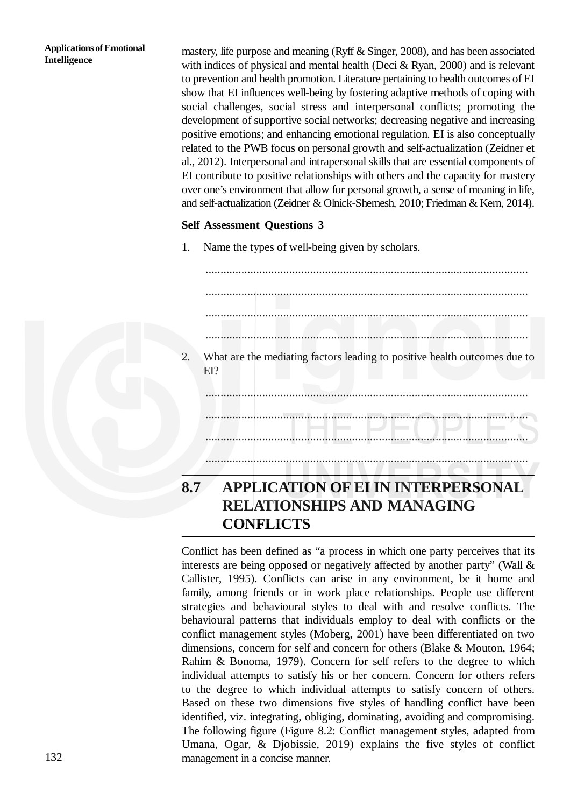### **Applications of Emotional Intelligence**

mastery, life purpose and meaning (Ryff & Singer, 2008), and has been associated with indices of physical and mental health (Deci & Ryan, 2000) and is relevant to prevention and health promotion. Literature pertaining to health outcomes of EI show that EI influences well-being by fostering adaptive methods of coping with social challenges, social stress and interpersonal conflicts; promoting the development of supportive social networks; decreasing negative and increasing positive emotions; and enhancing emotional regulation. EI is also conceptually related to the PWB focus on personal growth and self-actualization (Zeidner et al., 2012). Interpersonal and intrapersonal skills that are essential components of EI contribute to positive relationships with others and the capacity for mastery over one's environment that allow for personal growth, a sense of meaning in life, and self-actualization (Zeidner & Olnick-Shemesh, 2010; Friedman & Kern, 2014).

## **Self Assessment Questions 3**

1. Name the types of well-being given by scholars.

............................................................................................................ ............................................................................................................ ............................................................................................................ ............................................................................................................ 2. What are the mediating factors leading to positive health outcomes due to EI? ............................................................................................................ ............................................................................................................ ............................................................................................................ ............................................................................................................

# **8.7 APPLICATION OF EI IN INTERPERSONAL RELATIONSHIPS AND MANAGING CONFLICTS**

Conflict has been defined as "a process in which one party perceives that its interests are being opposed or negatively affected by another party" (Wall & Callister, 1995). Conflicts can arise in any environment, be it home and family, among friends or in work place relationships. People use different strategies and behavioural styles to deal with and resolve conflicts. The behavioural patterns that individuals employ to deal with conflicts or the conflict management styles (Moberg, 2001) have been differentiated on two dimensions, concern for self and concern for others (Blake & Mouton, 1964; Rahim & Bonoma, 1979). Concern for self refers to the degree to which individual attempts to satisfy his or her concern. Concern for others refers to the degree to which individual attempts to satisfy concern of others. Based on these two dimensions five styles of handling conflict have been identified, viz. integrating, obliging, dominating, avoiding and compromising. The following figure (Figure 8.2: Conflict management styles, adapted from Umana, Ogar, & Djobissie, 2019) explains the five styles of conflict management in a concise manner.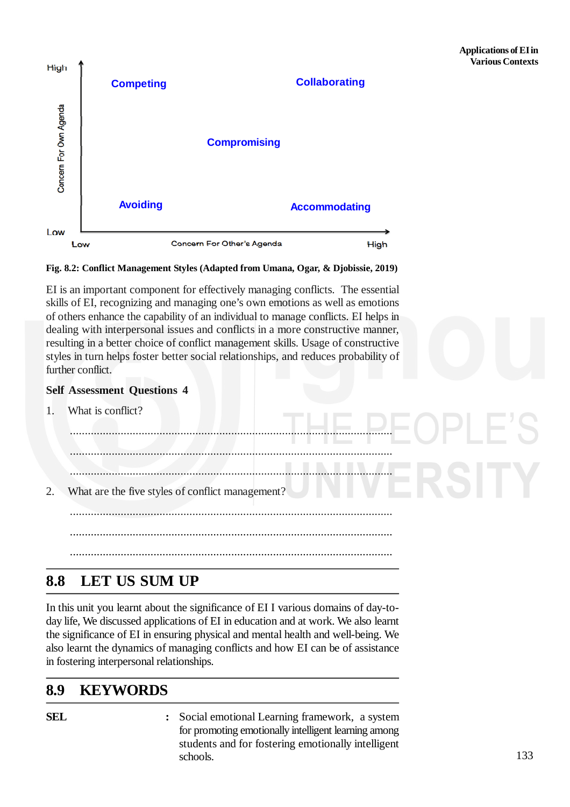

### **Fig. 8.2: Conflict Management Styles (Adapted from Umana, Ogar, & Djobissie, 2019)**

EI is an important component for effectively managing conflicts. The essential skills of EI, recognizing and managing one's own emotions as well as emotions of others enhance the capability of an individual to manage conflicts. EI helps in dealing with interpersonal issues and conflicts in a more constructive manner, resulting in a better choice of conflict management skills. Usage of constructive styles in turn helps foster better social relationships, and reduces probability of further conflict.

### **Self Assessment Questions 4**

1. What is conflict?

............................................................................................................ ............................................................................................................ ............................................................................................................ 2. What are the five styles of conflict management? ............................................................................................................ ............................................................................................................ ............................................................................................................

## **8.8 LET US SUM UP**

In this unit you learnt about the significance of EI I various domains of day-today life, We discussed applications of EI in education and at work. We also learnt the significance of EI in ensuring physical and mental health and well-being. We also learnt the dynamics of managing conflicts and how EI can be of assistance in fostering interpersonal relationships.

## **8.9 KEYWORDS**

**SEL :** Social emotional Learning framework, a system for promoting emotionally intelligent learning among students and for fostering emotionally intelligent schools.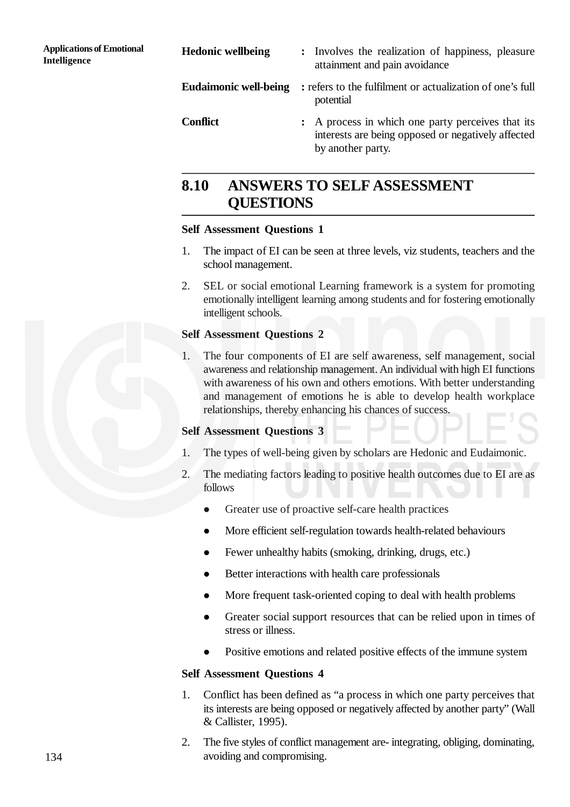| <b>Hedonic wellbeing</b>     | : Involves the realization of happiness, pleasure<br>attainment and pain avoidance                                           |
|------------------------------|------------------------------------------------------------------------------------------------------------------------------|
| <b>Eudaimonic well-being</b> | : refers to the fulfilment or actualization of one's full<br>potential                                                       |
| <b>Conflict</b>              | : A process in which one party perceives that its<br>interests are being opposed or negatively affected<br>by another party. |

# **8.10 ANSWERS TO SELF ASSESSMENT QUESTIONS**

## **Self Assessment Questions 1**

- 1. The impact of EI can be seen at three levels, viz students, teachers and the school management.
- 2. SEL or social emotional Learning framework is a system for promoting emotionally intelligent learning among students and for fostering emotionally intelligent schools.

### **Self Assessment Questions 2**

1. The four components of EI are self awareness, self management, social awareness and relationship management. An individual with high EI functions with awareness of his own and others emotions. With better understanding and management of emotions he is able to develop health workplace relationships, thereby enhancing his chances of success.

### **Self Assessment Questions 3**

- 1. The types of well-being given by scholars are Hedonic and Eudaimonic.
- 2. The mediating factors leading to positive health outcomes due to EI are as follows
	- Greater use of proactive self-care health practices
	- More efficient self-regulation towards health-related behaviours
	- Fewer unhealthy habits (smoking, drinking, drugs, etc.)
	- Better interactions with health care professionals
	- More frequent task-oriented coping to deal with health problems
	- Greater social support resources that can be relied upon in times of stress or illness.
	- Positive emotions and related positive effects of the immune system

### **Self Assessment Questions 4**

- 1. Conflict has been defined as "a process in which one party perceives that its interests are being opposed or negatively affected by another party" (Wall & Callister, 1995).
- 2. The five styles of conflict management are- integrating, obliging, dominating, avoiding and compromising.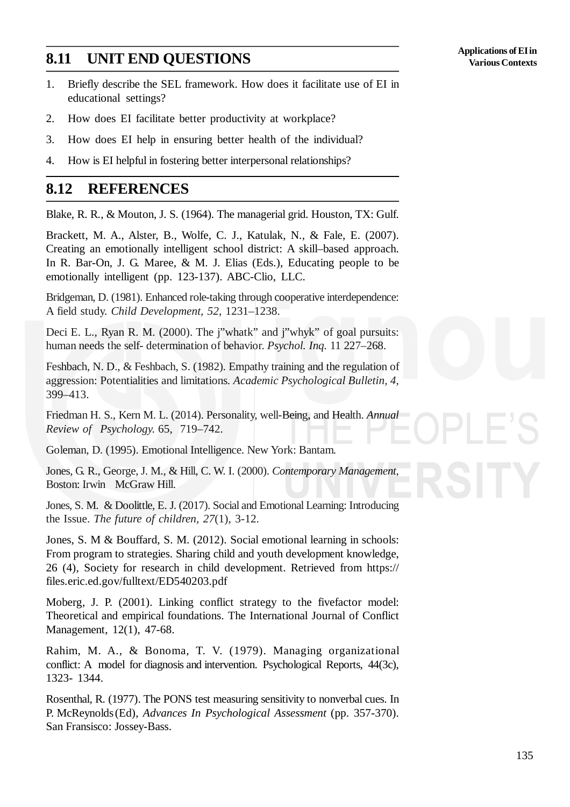# **8.11 UNIT END QUESTIONS**

- 1. Briefly describe the SEL framework. How does it facilitate use of EI in educational settings?
- 2. How does EI facilitate better productivity at workplace?
- 3. How does EI help in ensuring better health of the individual?
- 4. How is EI helpful in fostering better interpersonal relationships?

## **8.12 REFERENCES**

Blake, R. R., & Mouton, J. S. (1964). The managerial grid. Houston, TX: Gulf.

Brackett, M. A., Alster, B., Wolfe, C. J., Katulak, N., & Fale, E. (2007). Creating an emotionally intelligent school district: A skill–based approach. In R. Bar-On, J. G. Maree, & M. J. Elias (Eds.), Educating people to be emotionally intelligent (pp. 123-137). ABC-Clio, LLC.

Bridgeman, D. (1981). Enhanced role-taking through cooperative interdependence: A field study. *Child Development, 52*, 1231–1238.

Deci E. L., Ryan R. M. (2000). The j"whatk" and j"whyk" of goal pursuits: human needs the self- determination of behavior. *Psychol. Inq.* 11 227–268.

Feshbach, N. D., & Feshbach, S. (1982). Empathy training and the regulation of aggression: Potentialities and limitations. *Academic Psychological Bulletin, 4*, 399–413.

Friedman H. S., Kern M. L. (2014). Personality, well-Being, and Health. *Annual Review of Psychology.* 65, 719–742.

Goleman, D. (1995). Emotional Intelligence. New York: Bantam.

Jones, G. R., George, J. M., & Hill, C. W. I. (2000). *Contemporary Management*, Boston: Irwin McGraw Hill.

Jones, S. M. & Doolittle, E. J. (2017). Social and Emotional Learning: Introducing the Issue. *The future of children, 27*(1), 3-12.

Jones, S. M & Bouffard, S. M. (2012). Social emotional learning in schools: From program to strategies. Sharing child and youth development knowledge, 26 (4), Society for research in child development. Retrieved from https:// files.eric.ed.gov/fulltext/ED540203.pdf

Moberg, J. P. (2001). Linking conflict strategy to the fivefactor model: Theoretical and empirical foundations. The International Journal of Conflict Management, 12(1), 47-68.

Rahim, M. A., & Bonoma, T. V. (1979). Managing organizational conflict: A model for diagnosis and intervention. Psychological Reports, 44(3c), 1323- 1344.

Rosenthal, R. (1977). The PONS test measuring sensitivity to nonverbal cues. In P. McReynolds(Ed), *Advances In Psychological Assessment* (pp. 357-370). San Fransisco: Jossey-Bass.